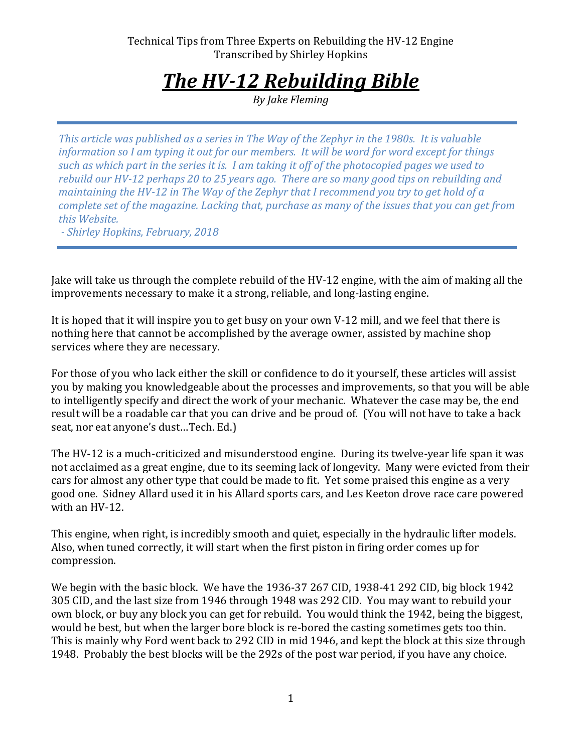# *The HV-12 Rebuilding Bible*

*By Jake Fleming*

*This article was published as a series in The Way of the Zephyr in the 1980s. It is valuable information so I am typing it out for our members. It will be word for word except for things such as which part in the series it is. I am taking it off of the photocopied pages we used to rebuild our HV-12 perhaps 20 to 25 years ago. There are so many good tips on rebuilding and maintaining the HV-12 in The Way of the Zephyr that I recommend you try to get hold of a complete set of the magazine. Lacking that, purchase as many of the issues that you can get from this Website.*

*- Shirley Hopkins, February, 2018*

Jake will take us through the complete rebuild of the HV-12 engine, with the aim of making all the improvements necessary to make it a strong, reliable, and long-lasting engine.

It is hoped that it will inspire you to get busy on your own V-12 mill, and we feel that there is nothing here that cannot be accomplished by the average owner, assisted by machine shop services where they are necessary.

For those of you who lack either the skill or confidence to do it yourself, these articles will assist you by making you knowledgeable about the processes and improvements, so that you will be able to intelligently specify and direct the work of your mechanic. Whatever the case may be, the end result will be a roadable car that you can drive and be proud of. (You will not have to take a back seat, nor eat anyone's dust…Tech. Ed.)

The HV-12 is a much-criticized and misunderstood engine. During its twelve-year life span it was not acclaimed as a great engine, due to its seeming lack of longevity. Many were evicted from their cars for almost any other type that could be made to fit. Yet some praised this engine as a very good one. Sidney Allard used it in his Allard sports cars, and Les Keeton drove race care powered with an HV-12.

This engine, when right, is incredibly smooth and quiet, especially in the hydraulic lifter models. Also, when tuned correctly, it will start when the first piston in firing order comes up for compression.

We begin with the basic block. We have the 1936-37 267 CID, 1938-41 292 CID, big block 1942 305 CID, and the last size from 1946 through 1948 was 292 CID. You may want to rebuild your own block, or buy any block you can get for rebuild. You would think the 1942, being the biggest, would be best, but when the larger bore block is re-bored the casting sometimes gets too thin. This is mainly why Ford went back to 292 CID in mid 1946, and kept the block at this size through 1948. Probably the best blocks will be the 292s of the post war period, if you have any choice.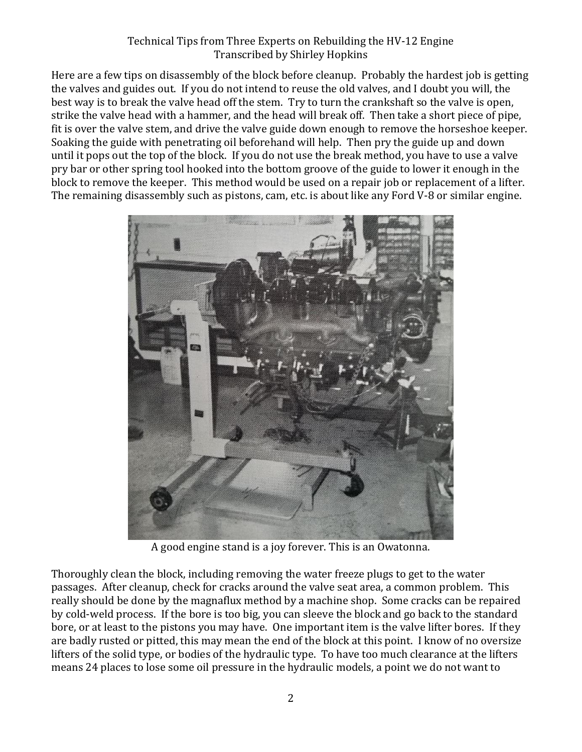Here are a few tips on disassembly of the block before cleanup. Probably the hardest job is getting the valves and guides out. If you do not intend to reuse the old valves, and I doubt you will, the best way is to break the valve head off the stem. Try to turn the crankshaft so the valve is open, strike the valve head with a hammer, and the head will break off. Then take a short piece of pipe, fit is over the valve stem, and drive the valve guide down enough to remove the horseshoe keeper. Soaking the guide with penetrating oil beforehand will help. Then pry the guide up and down until it pops out the top of the block. If you do not use the break method, you have to use a valve pry bar or other spring tool hooked into the bottom groove of the guide to lower it enough in the block to remove the keeper. This method would be used on a repair job or replacement of a lifter. The remaining disassembly such as pistons, cam, etc. is about like any Ford V-8 or similar engine.



A good engine stand is a joy forever. This is an Owatonna.

Thoroughly clean the block, including removing the water freeze plugs to get to the water passages. After cleanup, check for cracks around the valve seat area, a common problem. This really should be done by the magnaflux method by a machine shop. Some cracks can be repaired by cold-weld process. If the bore is too big, you can sleeve the block and go back to the standard bore, or at least to the pistons you may have. One important item is the valve lifter bores. If they are badly rusted or pitted, this may mean the end of the block at this point. I know of no oversize lifters of the solid type, or bodies of the hydraulic type. To have too much clearance at the lifters means 24 places to lose some oil pressure in the hydraulic models, a point we do not want to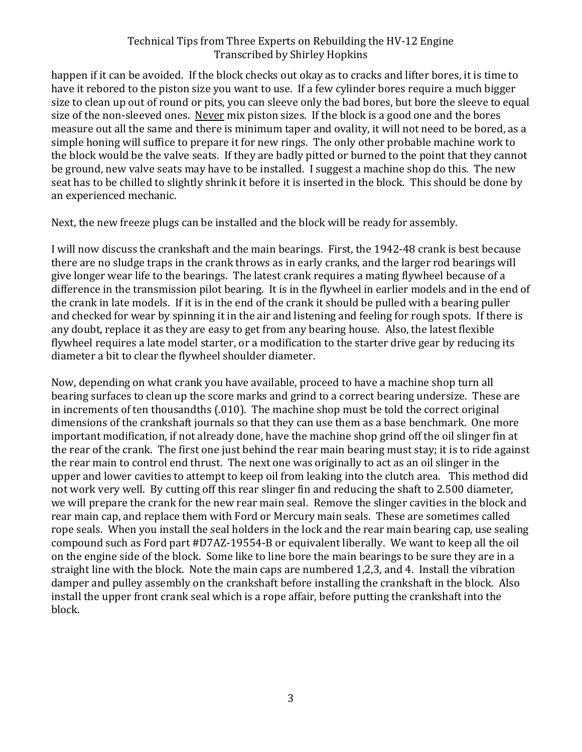happen if it can be avoided. If the block checks out okay as to cracks and lifter bores, it is time to have it rebored to the piston size you want to use. If a few cylinder bores require a much bigger size to clean up out of round or pits, you can sleeve only the bad bores, but bore the sleeve to equal size of the non-sleeved ones. Never mix piston sizes. If the block is a good one and the bores measure out all the same and there is minimum taper and ovality, it will not need to be bored, as a simple honing will suffice to prepare it for new rings. The only other probable machine work to the block would be the valve seats. If they are badly pitted or burned to the point that they cannot be ground, new valve seats may have to be installed. I suggest a machine shop do this. The new seat has to be chilled to slightly shrink it before it is inserted in the block. This should be done by an experienced mechanic.

Next, the new freeze plugs can be installed and the block will be ready for assembly.

I will now discuss the crankshaft and the main bearings. First, the 1942-48 crank is best because there are no sludge traps in the crank throws as in early cranks, and the larger rod bearings will give longer wear life to the bearings. The latest crank requires a mating flywheel because of a difference in the transmission pilot bearing. It is in the flywheel in earlier models and in the end of the crank in late models. If it is in the end of the crank it should be pulled with a bearing puller and checked for wear by spinning it in the air and listening and feeling for rough spots. If there is any doubt, replace it as they are easy to get from any bearing house. Also, the latest flexible flywheel requires a late model starter, or a modification to the starter drive gear by reducing its diameter a bit to clear the flywheel shoulder diameter.

Now, depending on what crank you have available, proceed to have a machine shop turn all bearing surfaces to clean up the score marks and grind to a correct bearing undersize. These are in increments of ten thousandths (.010). The machine shop must be told the correct original dimensions of the crankshaft journals so that they can use them as a base benchmark. One more important modification, if not already done, have the machine shop grind off the oil slinger fin at the rear of the crank. The first one just behind the rear main bearing must stay; it is to ride against the rear main to control end thrust. The next one was originally to act as an oil slinger in the upper and lower cavities to attempt to keep oil from leaking into the clutch area. This method did not work very well. By cutting off this rear slinger fin and reducing the shaft to 2.500 diameter, we will prepare the crank for the new rear main seal. Remove the slinger cavities in the block and rear main cap, and replace them with Ford or Mercury main seals. These are sometimes called rope seals. When you install the seal holders in the lock and the rear main bearing cap, use sealing compound such as Ford part #D7AZ-19554-B or equivalent liberally. We want to keep all the oil on the engine side of the block. Some like to line bore the main bearings to be sure they are in a straight line with the block. Note the main caps are numbered 1,2,3, and 4. Install the vibration damper and pulley assembly on the crankshaft before installing the crankshaft in the block. Also install the upper front crank seal which is a rope affair, before putting the crankshaft into the block.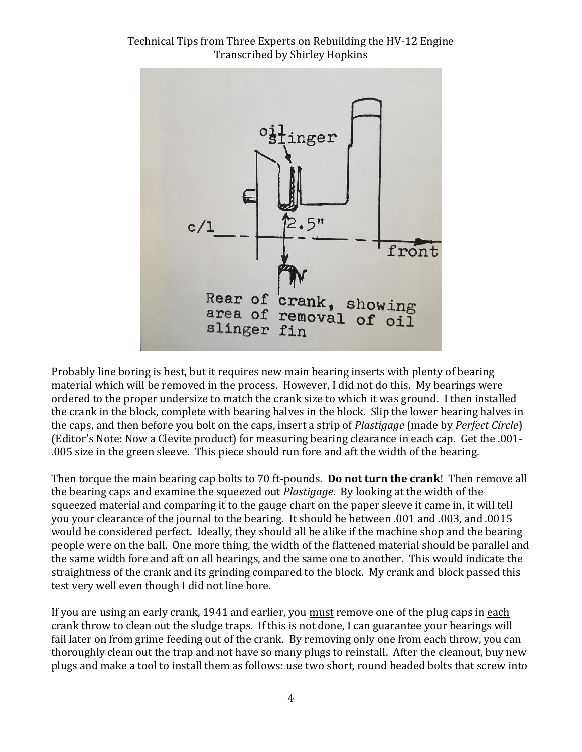

Probably line boring is best, but it requires new main bearing inserts with plenty of bearing material which will be removed in the process. However, I did not do this. My bearings were ordered to the proper undersize to match the crank size to which it was ground. I then installed the crank in the block, complete with bearing halves in the block. Slip the lower bearing halves in the caps, and then before you bolt on the caps, insert a strip of *Plastigage* (made by *Perfect Circle*) (Editor's Note: Now a Clevite product) for measuring bearing clearance in each cap. Get the .001- .005 size in the green sleeve. This piece should run fore and aft the width of the bearing.

Then torque the main bearing cap bolts to 70 ft-pounds. **Do not turn the crank**! Then remove all the bearing caps and examine the squeezed out *Plastigage*. By looking at the width of the squeezed material and comparing it to the gauge chart on the paper sleeve it came in, it will tell you your clearance of the journal to the bearing. It should be between .001 and .003, and .0015 would be considered perfect. Ideally, they should all be alike if the machine shop and the bearing people were on the ball. One more thing, the width of the flattened material should be parallel and the same width fore and aft on all bearings, and the same one to another. This would indicate the straightness of the crank and its grinding compared to the block. My crank and block passed this test very well even though I did not line bore.

If you are using an early crank, 1941 and earlier, you must remove one of the plug caps in each crank throw to clean out the sludge traps. If this is not done, I can guarantee your bearings will fail later on from grime feeding out of the crank. By removing only one from each throw, you can thoroughly clean out the trap and not have so many plugs to reinstall. After the cleanout, buy new plugs and make a tool to install them as follows: use two short, round headed bolts that screw into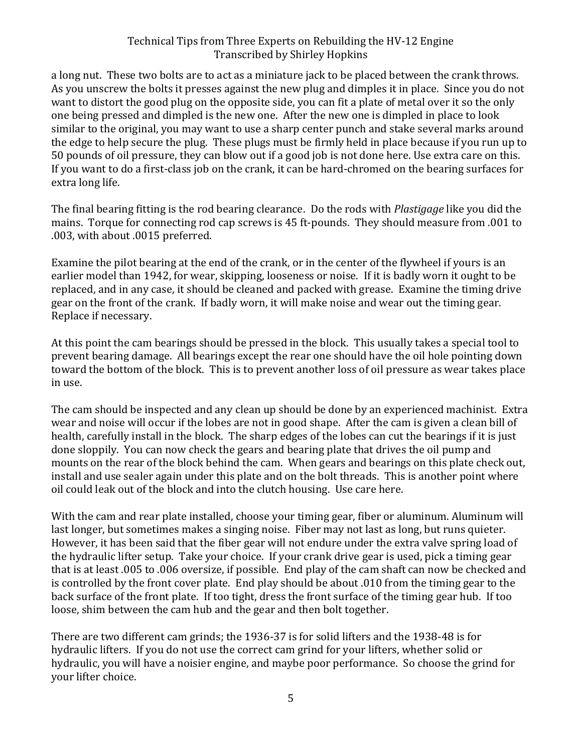a long nut. These two bolts are to act as a miniature jack to be placed between the crank throws. As you unscrew the bolts it presses against the new plug and dimples it in place. Since you do not want to distort the good plug on the opposite side, you can fit a plate of metal over it so the only one being pressed and dimpled is the new one. After the new one is dimpled in place to look similar to the original, you may want to use a sharp center punch and stake several marks around the edge to help secure the plug. These plugs must be firmly held in place because if you run up to 50 pounds of oil pressure, they can blow out if a good job is not done here. Use extra care on this. If you want to do a first-class job on the crank, it can be hard-chromed on the bearing surfaces for extra long life.

The final bearing fitting is the rod bearing clearance. Do the rods with *Plastigage* like you did the mains. Torque for connecting rod cap screws is 45 ft-pounds. They should measure from .001 to .003, with about .0015 preferred.

Examine the pilot bearing at the end of the crank, or in the center of the flywheel if yours is an earlier model than 1942, for wear, skipping, looseness or noise. If it is badly worn it ought to be replaced, and in any case, it should be cleaned and packed with grease. Examine the timing drive gear on the front of the crank. If badly worn, it will make noise and wear out the timing gear. Replace if necessary.

At this point the cam bearings should be pressed in the block. This usually takes a special tool to prevent bearing damage. All bearings except the rear one should have the oil hole pointing down toward the bottom of the block. This is to prevent another loss of oil pressure as wear takes place in use.

The cam should be inspected and any clean up should be done by an experienced machinist. Extra wear and noise will occur if the lobes are not in good shape. After the cam is given a clean bill of health, carefully install in the block. The sharp edges of the lobes can cut the bearings if it is just done sloppily. You can now check the gears and bearing plate that drives the oil pump and mounts on the rear of the block behind the cam. When gears and bearings on this plate check out, install and use sealer again under this plate and on the bolt threads. This is another point where oil could leak out of the block and into the clutch housing. Use care here.

With the cam and rear plate installed, choose your timing gear, fiber or aluminum. Aluminum will last longer, but sometimes makes a singing noise. Fiber may not last as long, but runs quieter. However, it has been said that the fiber gear will not endure under the extra valve spring load of the hydraulic lifter setup. Take your choice. If your crank drive gear is used, pick a timing gear that is at least .005 to .006 oversize, if possible. End play of the cam shaft can now be checked and is controlled by the front cover plate. End play should be about .010 from the timing gear to the back surface of the front plate. If too tight, dress the front surface of the timing gear hub. If too loose, shim between the cam hub and the gear and then bolt together.

There are two different cam grinds; the 1936-37 is for solid lifters and the 1938-48 is for hydraulic lifters. If you do not use the correct cam grind for your lifters, whether solid or hydraulic, you will have a noisier engine, and maybe poor performance. So choose the grind for your lifter choice.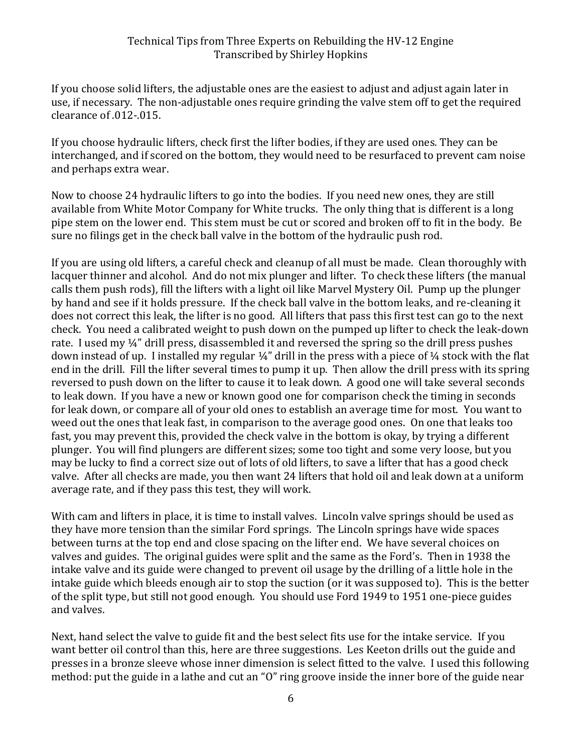If you choose solid lifters, the adjustable ones are the easiest to adjust and adjust again later in use, if necessary. The non-adjustable ones require grinding the valve stem off to get the required clearance of .012-.015.

If you choose hydraulic lifters, check first the lifter bodies, if they are used ones. They can be interchanged, and if scored on the bottom, they would need to be resurfaced to prevent cam noise and perhaps extra wear.

Now to choose 24 hydraulic lifters to go into the bodies. If you need new ones, they are still available from White Motor Company for White trucks. The only thing that is different is a long pipe stem on the lower end. This stem must be cut or scored and broken off to fit in the body. Be sure no filings get in the check ball valve in the bottom of the hydraulic push rod.

If you are using old lifters, a careful check and cleanup of all must be made. Clean thoroughly with lacquer thinner and alcohol. And do not mix plunger and lifter. To check these lifters (the manual calls them push rods), fill the lifters with a light oil like Marvel Mystery Oil. Pump up the plunger by hand and see if it holds pressure. If the check ball valve in the bottom leaks, and re-cleaning it does not correct this leak, the lifter is no good. All lifters that pass this first test can go to the next check. You need a calibrated weight to push down on the pumped up lifter to check the leak-down rate. I used my ¼" drill press, disassembled it and reversed the spring so the drill press pushes down instead of up. I installed my regular ¼" drill in the press with a piece of ¼ stock with the flat end in the drill. Fill the lifter several times to pump it up. Then allow the drill press with its spring reversed to push down on the lifter to cause it to leak down. A good one will take several seconds to leak down. If you have a new or known good one for comparison check the timing in seconds for leak down, or compare all of your old ones to establish an average time for most. You want to weed out the ones that leak fast, in comparison to the average good ones. On one that leaks too fast, you may prevent this, provided the check valve in the bottom is okay, by trying a different plunger. You will find plungers are different sizes; some too tight and some very loose, but you may be lucky to find a correct size out of lots of old lifters, to save a lifter that has a good check valve. After all checks are made, you then want 24 lifters that hold oil and leak down at a uniform average rate, and if they pass this test, they will work.

With cam and lifters in place, it is time to install valves. Lincoln valve springs should be used as they have more tension than the similar Ford springs. The Lincoln springs have wide spaces between turns at the top end and close spacing on the lifter end. We have several choices on valves and guides. The original guides were split and the same as the Ford's. Then in 1938 the intake valve and its guide were changed to prevent oil usage by the drilling of a little hole in the intake guide which bleeds enough air to stop the suction (or it was supposed to). This is the better of the split type, but still not good enough. You should use Ford 1949 to 1951 one-piece guides and valves.

Next, hand select the valve to guide fit and the best select fits use for the intake service. If you want better oil control than this, here are three suggestions. Les Keeton drills out the guide and presses in a bronze sleeve whose inner dimension is select fitted to the valve. I used this following method: put the guide in a lathe and cut an "O" ring groove inside the inner bore of the guide near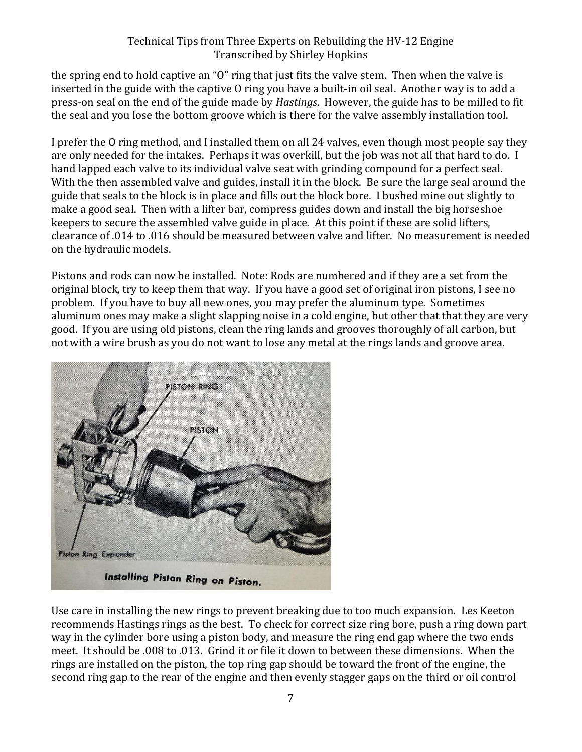the spring end to hold captive an "O" ring that just fits the valve stem. Then when the valve is inserted in the guide with the captive O ring you have a built-in oil seal. Another way is to add a press-on seal on the end of the guide made by *Hastings*. However, the guide has to be milled to fit the seal and you lose the bottom groove which is there for the valve assembly installation tool.

I prefer the O ring method, and I installed them on all 24 valves, even though most people say they are only needed for the intakes. Perhaps it was overkill, but the job was not all that hard to do. I hand lapped each valve to its individual valve seat with grinding compound for a perfect seal. With the then assembled valve and guides, install it in the block. Be sure the large seal around the guide that seals to the block is in place and fills out the block bore. I bushed mine out slightly to make a good seal. Then with a lifter bar, compress guides down and install the big horseshoe keepers to secure the assembled valve guide in place. At this point if these are solid lifters, clearance of .014 to .016 should be measured between valve and lifter. No measurement is needed on the hydraulic models.

Pistons and rods can now be installed. Note: Rods are numbered and if they are a set from the original block, try to keep them that way. If you have a good set of original iron pistons, I see no problem. If you have to buy all new ones, you may prefer the aluminum type. Sometimes aluminum ones may make a slight slapping noise in a cold engine, but other that that they are very good. If you are using old pistons, clean the ring lands and grooves thoroughly of all carbon, but not with a wire brush as you do not want to lose any metal at the rings lands and groove area.



Use care in installing the new rings to prevent breaking due to too much expansion. Les Keeton recommends Hastings rings as the best. To check for correct size ring bore, push a ring down part way in the cylinder bore using a piston body, and measure the ring end gap where the two ends meet. It should be .008 to .013. Grind it or file it down to between these dimensions. When the rings are installed on the piston, the top ring gap should be toward the front of the engine, the second ring gap to the rear of the engine and then evenly stagger gaps on the third or oil control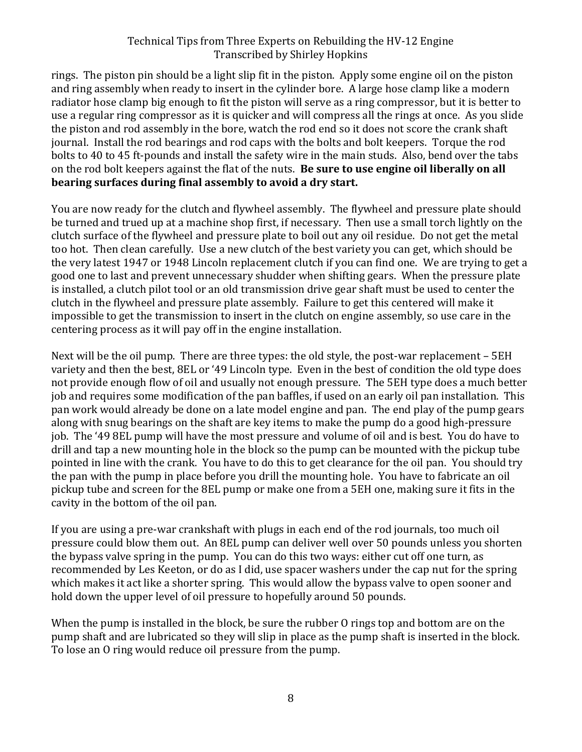rings. The piston pin should be a light slip fit in the piston. Apply some engine oil on the piston and ring assembly when ready to insert in the cylinder bore. A large hose clamp like a modern radiator hose clamp big enough to fit the piston will serve as a ring compressor, but it is better to use a regular ring compressor as it is quicker and will compress all the rings at once. As you slide the piston and rod assembly in the bore, watch the rod end so it does not score the crank shaft journal. Install the rod bearings and rod caps with the bolts and bolt keepers. Torque the rod bolts to 40 to 45 ft-pounds and install the safety wire in the main studs. Also, bend over the tabs on the rod bolt keepers against the flat of the nuts. **Be sure to use engine oil liberally on all bearing surfaces during final assembly to avoid a dry start.**

You are now ready for the clutch and flywheel assembly. The flywheel and pressure plate should be turned and trued up at a machine shop first, if necessary. Then use a small torch lightly on the clutch surface of the flywheel and pressure plate to boil out any oil residue. Do not get the metal too hot. Then clean carefully. Use a new clutch of the best variety you can get, which should be the very latest 1947 or 1948 Lincoln replacement clutch if you can find one. We are trying to get a good one to last and prevent unnecessary shudder when shifting gears. When the pressure plate is installed, a clutch pilot tool or an old transmission drive gear shaft must be used to center the clutch in the flywheel and pressure plate assembly. Failure to get this centered will make it impossible to get the transmission to insert in the clutch on engine assembly, so use care in the centering process as it will pay off in the engine installation.

Next will be the oil pump. There are three types: the old style, the post-war replacement – 5EH variety and then the best, 8EL or '49 Lincoln type. Even in the best of condition the old type does not provide enough flow of oil and usually not enough pressure. The 5EH type does a much better job and requires some modification of the pan baffles, if used on an early oil pan installation. This pan work would already be done on a late model engine and pan. The end play of the pump gears along with snug bearings on the shaft are key items to make the pump do a good high-pressure job. The '49 8EL pump will have the most pressure and volume of oil and is best. You do have to drill and tap a new mounting hole in the block so the pump can be mounted with the pickup tube pointed in line with the crank. You have to do this to get clearance for the oil pan. You should try the pan with the pump in place before you drill the mounting hole. You have to fabricate an oil pickup tube and screen for the 8EL pump or make one from a 5EH one, making sure it fits in the cavity in the bottom of the oil pan.

If you are using a pre-war crankshaft with plugs in each end of the rod journals, too much oil pressure could blow them out. An 8EL pump can deliver well over 50 pounds unless you shorten the bypass valve spring in the pump. You can do this two ways: either cut off one turn, as recommended by Les Keeton, or do as I did, use spacer washers under the cap nut for the spring which makes it act like a shorter spring. This would allow the bypass valve to open sooner and hold down the upper level of oil pressure to hopefully around 50 pounds.

When the pump is installed in the block, be sure the rubber O rings top and bottom are on the pump shaft and are lubricated so they will slip in place as the pump shaft is inserted in the block. To lose an O ring would reduce oil pressure from the pump.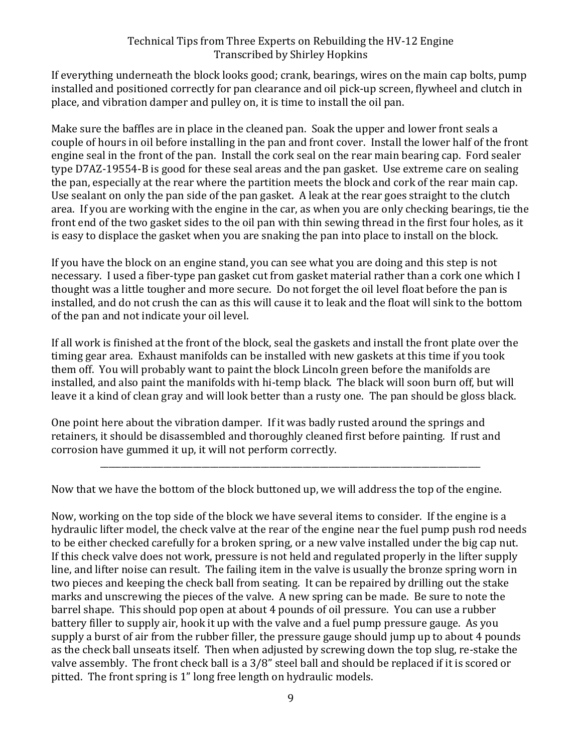If everything underneath the block looks good; crank, bearings, wires on the main cap bolts, pump installed and positioned correctly for pan clearance and oil pick-up screen, flywheel and clutch in place, and vibration damper and pulley on, it is time to install the oil pan.

Make sure the baffles are in place in the cleaned pan. Soak the upper and lower front seals a couple of hours in oil before installing in the pan and front cover. Install the lower half of the front engine seal in the front of the pan. Install the cork seal on the rear main bearing cap. Ford sealer type D7AZ-19554-B is good for these seal areas and the pan gasket. Use extreme care on sealing the pan, especially at the rear where the partition meets the block and cork of the rear main cap. Use sealant on only the pan side of the pan gasket. A leak at the rear goes straight to the clutch area. If you are working with the engine in the car, as when you are only checking bearings, tie the front end of the two gasket sides to the oil pan with thin sewing thread in the first four holes, as it is easy to displace the gasket when you are snaking the pan into place to install on the block.

If you have the block on an engine stand, you can see what you are doing and this step is not necessary. I used a fiber-type pan gasket cut from gasket material rather than a cork one which I thought was a little tougher and more secure. Do not forget the oil level float before the pan is installed, and do not crush the can as this will cause it to leak and the float will sink to the bottom of the pan and not indicate your oil level.

If all work is finished at the front of the block, seal the gaskets and install the front plate over the timing gear area. Exhaust manifolds can be installed with new gaskets at this time if you took them off. You will probably want to paint the block Lincoln green before the manifolds are installed, and also paint the manifolds with hi-temp black. The black will soon burn off, but will leave it a kind of clean gray and will look better than a rusty one. The pan should be gloss black.

One point here about the vibration damper. If it was badly rusted around the springs and retainers, it should be disassembled and thoroughly cleaned first before painting. If rust and corrosion have gummed it up, it will not perform correctly.

\_\_\_\_\_\_\_\_\_\_\_\_\_\_\_\_\_\_\_\_\_\_\_\_\_\_\_\_\_\_\_\_\_\_\_\_\_\_\_\_\_\_\_\_\_\_\_\_\_\_\_\_\_\_\_\_\_\_\_\_\_\_\_\_\_\_\_\_\_\_\_\_\_\_\_\_\_\_\_\_\_\_\_\_\_\_\_\_\_\_

Now that we have the bottom of the block buttoned up, we will address the top of the engine.

Now, working on the top side of the block we have several items to consider. If the engine is a hydraulic lifter model, the check valve at the rear of the engine near the fuel pump push rod needs to be either checked carefully for a broken spring, or a new valve installed under the big cap nut. If this check valve does not work, pressure is not held and regulated properly in the lifter supply line, and lifter noise can result. The failing item in the valve is usually the bronze spring worn in two pieces and keeping the check ball from seating. It can be repaired by drilling out the stake marks and unscrewing the pieces of the valve. A new spring can be made. Be sure to note the barrel shape. This should pop open at about 4 pounds of oil pressure. You can use a rubber battery filler to supply air, hook it up with the valve and a fuel pump pressure gauge. As you supply a burst of air from the rubber filler, the pressure gauge should jump up to about 4 pounds as the check ball unseats itself. Then when adjusted by screwing down the top slug, re-stake the valve assembly. The front check ball is a 3/8" steel ball and should be replaced if it is scored or pitted. The front spring is 1" long free length on hydraulic models.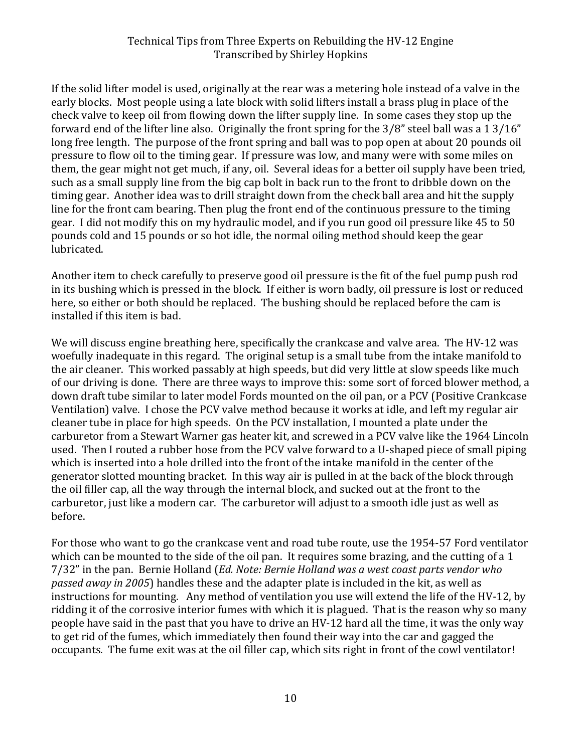If the solid lifter model is used, originally at the rear was a metering hole instead of a valve in the early blocks. Most people using a late block with solid lifters install a brass plug in place of the check valve to keep oil from flowing down the lifter supply line. In some cases they stop up the forward end of the lifter line also. Originally the front spring for the 3/8" steel ball was a 1 3/16" long free length. The purpose of the front spring and ball was to pop open at about 20 pounds oil pressure to flow oil to the timing gear. If pressure was low, and many were with some miles on them, the gear might not get much, if any, oil. Several ideas for a better oil supply have been tried, such as a small supply line from the big cap bolt in back run to the front to dribble down on the timing gear. Another idea was to drill straight down from the check ball area and hit the supply line for the front cam bearing. Then plug the front end of the continuous pressure to the timing gear. I did not modify this on my hydraulic model, and if you run good oil pressure like 45 to 50 pounds cold and 15 pounds or so hot idle, the normal oiling method should keep the gear lubricated.

Another item to check carefully to preserve good oil pressure is the fit of the fuel pump push rod in its bushing which is pressed in the block. If either is worn badly, oil pressure is lost or reduced here, so either or both should be replaced. The bushing should be replaced before the cam is installed if this item is bad.

We will discuss engine breathing here, specifically the crankcase and valve area. The HV-12 was woefully inadequate in this regard. The original setup is a small tube from the intake manifold to the air cleaner. This worked passably at high speeds, but did very little at slow speeds like much of our driving is done. There are three ways to improve this: some sort of forced blower method, a down draft tube similar to later model Fords mounted on the oil pan, or a PCV (Positive Crankcase Ventilation) valve. I chose the PCV valve method because it works at idle, and left my regular air cleaner tube in place for high speeds. On the PCV installation, I mounted a plate under the carburetor from a Stewart Warner gas heater kit, and screwed in a PCV valve like the 1964 Lincoln used. Then I routed a rubber hose from the PCV valve forward to a U-shaped piece of small piping which is inserted into a hole drilled into the front of the intake manifold in the center of the generator slotted mounting bracket. In this way air is pulled in at the back of the block through the oil filler cap, all the way through the internal block, and sucked out at the front to the carburetor, just like a modern car. The carburetor will adjust to a smooth idle just as well as before.

For those who want to go the crankcase vent and road tube route, use the 1954-57 Ford ventilator which can be mounted to the side of the oil pan. It requires some brazing, and the cutting of a 1 7/32" in the pan. Bernie Holland (*Ed. Note: Bernie Holland was a west coast parts vendor who passed away in 2005*) handles these and the adapter plate is included in the kit, as well as instructions for mounting. Any method of ventilation you use will extend the life of the HV-12, by ridding it of the corrosive interior fumes with which it is plagued. That is the reason why so many people have said in the past that you have to drive an HV-12 hard all the time, it was the only way to get rid of the fumes, which immediately then found their way into the car and gagged the occupants. The fume exit was at the oil filler cap, which sits right in front of the cowl ventilator!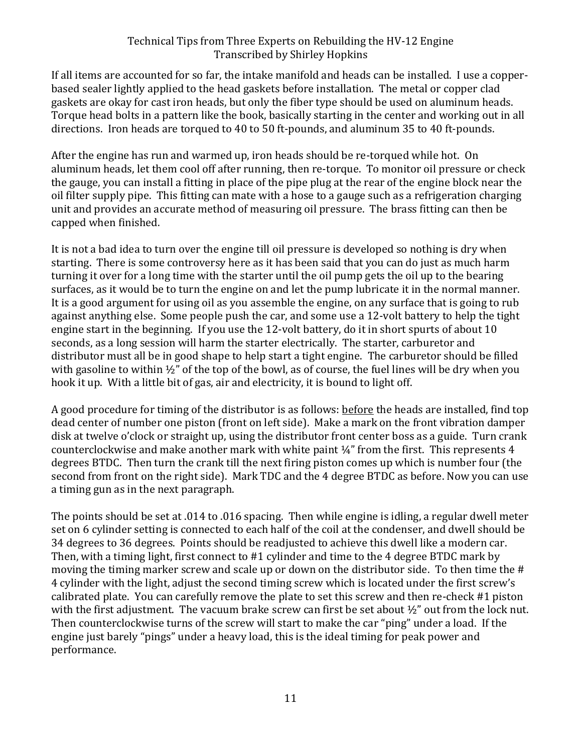If all items are accounted for so far, the intake manifold and heads can be installed. I use a copperbased sealer lightly applied to the head gaskets before installation. The metal or copper clad gaskets are okay for cast iron heads, but only the fiber type should be used on aluminum heads. Torque head bolts in a pattern like the book, basically starting in the center and working out in all directions. Iron heads are torqued to 40 to 50 ft-pounds, and aluminum 35 to 40 ft-pounds.

After the engine has run and warmed up, iron heads should be re-torqued while hot. On aluminum heads, let them cool off after running, then re-torque. To monitor oil pressure or check the gauge, you can install a fitting in place of the pipe plug at the rear of the engine block near the oil filter supply pipe. This fitting can mate with a hose to a gauge such as a refrigeration charging unit and provides an accurate method of measuring oil pressure. The brass fitting can then be capped when finished.

It is not a bad idea to turn over the engine till oil pressure is developed so nothing is dry when starting. There is some controversy here as it has been said that you can do just as much harm turning it over for a long time with the starter until the oil pump gets the oil up to the bearing surfaces, as it would be to turn the engine on and let the pump lubricate it in the normal manner. It is a good argument for using oil as you assemble the engine, on any surface that is going to rub against anything else. Some people push the car, and some use a 12-volt battery to help the tight engine start in the beginning. If you use the 12-volt battery, do it in short spurts of about 10 seconds, as a long session will harm the starter electrically. The starter, carburetor and distributor must all be in good shape to help start a tight engine. The carburetor should be filled with gasoline to within  $\frac{1}{2}$ " of the top of the bowl, as of course, the fuel lines will be dry when you hook it up. With a little bit of gas, air and electricity, it is bound to light off.

A good procedure for timing of the distributor is as follows: before the heads are installed, find top dead center of number one piston (front on left side). Make a mark on the front vibration damper disk at twelve o'clock or straight up, using the distributor front center boss as a guide. Turn crank counterclockwise and make another mark with white paint ¼" from the first. This represents 4 degrees BTDC. Then turn the crank till the next firing piston comes up which is number four (the second from front on the right side). Mark TDC and the 4 degree BTDC as before. Now you can use a timing gun as in the next paragraph.

The points should be set at .014 to .016 spacing. Then while engine is idling, a regular dwell meter set on 6 cylinder setting is connected to each half of the coil at the condenser, and dwell should be 34 degrees to 36 degrees. Points should be readjusted to achieve this dwell like a modern car. Then, with a timing light, first connect to #1 cylinder and time to the 4 degree BTDC mark by moving the timing marker screw and scale up or down on the distributor side. To then time the # 4 cylinder with the light, adjust the second timing screw which is located under the first screw's calibrated plate. You can carefully remove the plate to set this screw and then re-check #1 piston with the first adjustment. The vacuum brake screw can first be set about ½" out from the lock nut. Then counterclockwise turns of the screw will start to make the car "ping" under a load. If the engine just barely "pings" under a heavy load, this is the ideal timing for peak power and performance.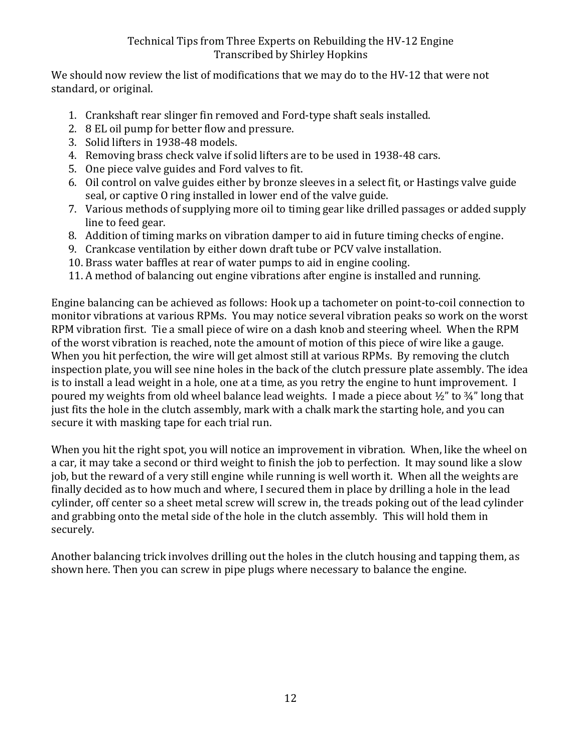We should now review the list of modifications that we may do to the HV-12 that were not standard, or original.

- 1. Crankshaft rear slinger fin removed and Ford-type shaft seals installed.
- 2. 8 EL oil pump for better flow and pressure.
- 3. Solid lifters in 1938-48 models.
- 4. Removing brass check valve if solid lifters are to be used in 1938-48 cars.
- 5. One piece valve guides and Ford valves to fit.
- 6. Oil control on valve guides either by bronze sleeves in a select fit, or Hastings valve guide seal, or captive O ring installed in lower end of the valve guide.
- 7. Various methods of supplying more oil to timing gear like drilled passages or added supply line to feed gear.
- 8. Addition of timing marks on vibration damper to aid in future timing checks of engine.
- 9. Crankcase ventilation by either down draft tube or PCV valve installation.
- 10. Brass water baffles at rear of water pumps to aid in engine cooling.
- 11. A method of balancing out engine vibrations after engine is installed and running.

Engine balancing can be achieved as follows: Hook up a tachometer on point-to-coil connection to monitor vibrations at various RPMs. You may notice several vibration peaks so work on the worst RPM vibration first. Tie a small piece of wire on a dash knob and steering wheel. When the RPM of the worst vibration is reached, note the amount of motion of this piece of wire like a gauge. When you hit perfection, the wire will get almost still at various RPMs. By removing the clutch inspection plate, you will see nine holes in the back of the clutch pressure plate assembly. The idea is to install a lead weight in a hole, one at a time, as you retry the engine to hunt improvement. I poured my weights from old wheel balance lead weights. I made a piece about  $\frac{1}{2}$  to  $\frac{3}{4}$ " long that just fits the hole in the clutch assembly, mark with a chalk mark the starting hole, and you can secure it with masking tape for each trial run.

When you hit the right spot, you will notice an improvement in vibration. When, like the wheel on a car, it may take a second or third weight to finish the job to perfection. It may sound like a slow job, but the reward of a very still engine while running is well worth it. When all the weights are finally decided as to how much and where, I secured them in place by drilling a hole in the lead cylinder, off center so a sheet metal screw will screw in, the treads poking out of the lead cylinder and grabbing onto the metal side of the hole in the clutch assembly. This will hold them in securely.

Another balancing trick involves drilling out the holes in the clutch housing and tapping them, as shown here. Then you can screw in pipe plugs where necessary to balance the engine.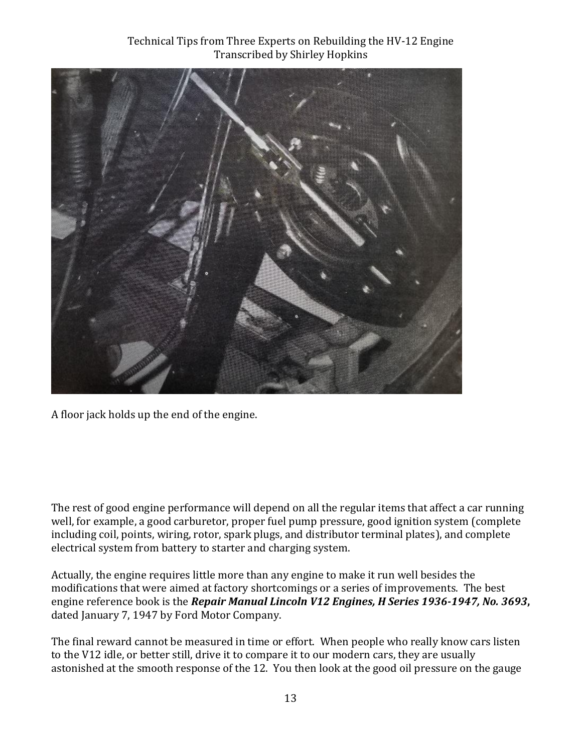

A floor jack holds up the end of the engine.

The rest of good engine performance will depend on all the regular items that affect a car running well, for example, a good carburetor, proper fuel pump pressure, good ignition system (complete including coil, points, wiring, rotor, spark plugs, and distributor terminal plates), and complete electrical system from battery to starter and charging system.

Actually, the engine requires little more than any engine to make it run well besides the modifications that were aimed at factory shortcomings or a series of improvements. The best engine reference book is the *Repair Manual Lincoln V12 Engines, H Series 1936-1947, No. 3693***,**  dated January 7, 1947 by Ford Motor Company.

The final reward cannot be measured in time or effort. When people who really know cars listen to the V12 idle, or better still, drive it to compare it to our modern cars, they are usually astonished at the smooth response of the 12. You then look at the good oil pressure on the gauge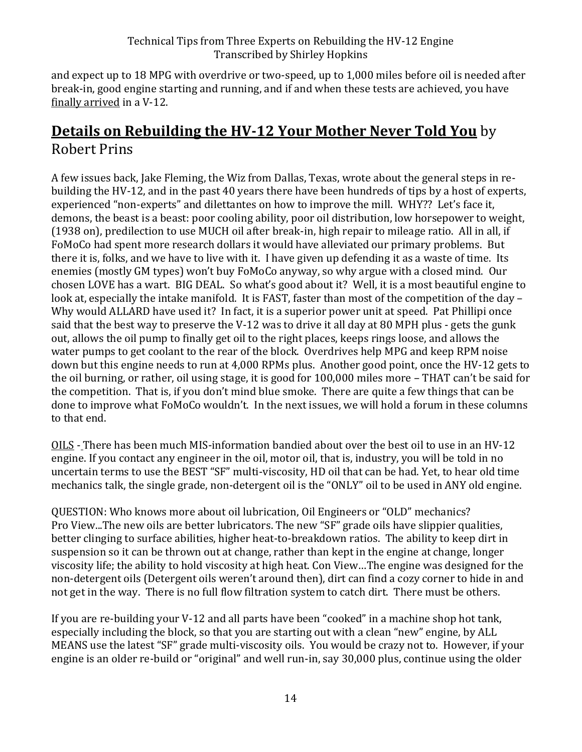and expect up to 18 MPG with overdrive or two-speed, up to 1,000 miles before oil is needed after break-in, good engine starting and running, and if and when these tests are achieved, you have finally arrived in a V-12.

# **Details on Rebuilding the HV-12 Your Mother Never Told You** by Robert Prins

A few issues back, Jake Fleming, the Wiz from Dallas, Texas, wrote about the general steps in rebuilding the HV-12, and in the past 40 years there have been hundreds of tips by a host of experts, experienced "non-experts" and dilettantes on how to improve the mill. WHY?? Let's face it, demons, the beast is a beast: poor cooling ability, poor oil distribution, low horsepower to weight, (1938 on), predilection to use MUCH oil after break-in, high repair to mileage ratio. All in all, if FoMoCo had spent more research dollars it would have alleviated our primary problems. But there it is, folks, and we have to live with it. I have given up defending it as a waste of time. Its enemies (mostly GM types) won't buy FoMoCo anyway, so why argue with a closed mind. Our chosen LOVE has a wart. BIG DEAL. So what's good about it? Well, it is a most beautiful engine to look at, especially the intake manifold. It is FAST, faster than most of the competition of the day – Why would ALLARD have used it? In fact, it is a superior power unit at speed. Pat Phillipi once said that the best way to preserve the V-12 was to drive it all day at 80 MPH plus - gets the gunk out, allows the oil pump to finally get oil to the right places, keeps rings loose, and allows the water pumps to get coolant to the rear of the block. Overdrives help MPG and keep RPM noise down but this engine needs to run at 4,000 RPMs plus. Another good point, once the HV-12 gets to the oil burning, or rather, oil using stage, it is good for 100,000 miles more – THAT can't be said for the competition. That is, if you don't mind blue smoke. There are quite a few things that can be done to improve what FoMoCo wouldn't. In the next issues, we will hold a forum in these columns to that end.

OILS - There has been much MIS-information bandied about over the best oil to use in an HV-12 engine. If you contact any engineer in the oil, motor oil, that is, industry, you will be told in no uncertain terms to use the BEST "SF" multi-viscosity, HD oil that can be had. Yet, to hear old time mechanics talk, the single grade, non-detergent oil is the "ONLY" oil to be used in ANY old engine.

QUESTION: Who knows more about oil lubrication, Oil Engineers or "OLD" mechanics? Pro View...The new oils are better lubricators. The new "SF" grade oils have slippier qualities, better clinging to surface abilities, higher heat-to-breakdown ratios. The ability to keep dirt in suspension so it can be thrown out at change, rather than kept in the engine at change, longer viscosity life; the ability to hold viscosity at high heat. Con View…The engine was designed for the non-detergent oils (Detergent oils weren't around then), dirt can find a cozy corner to hide in and not get in the way. There is no full flow filtration system to catch dirt. There must be others.

If you are re-building your V-12 and all parts have been "cooked" in a machine shop hot tank, especially including the block, so that you are starting out with a clean "new" engine, by ALL MEANS use the latest "SF" grade multi-viscosity oils. You would be crazy not to. However, if your engine is an older re-build or "original" and well run-in, say 30,000 plus, continue using the older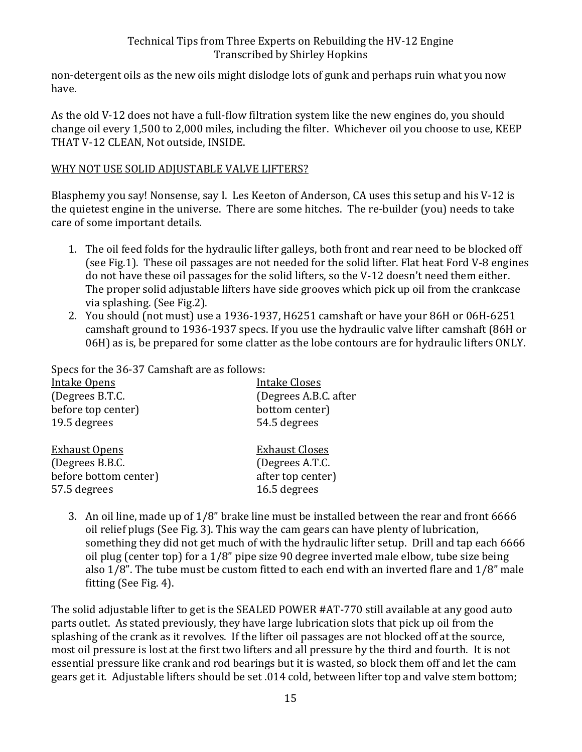non-detergent oils as the new oils might dislodge lots of gunk and perhaps ruin what you now have.

As the old V-12 does not have a full-flow filtration system like the new engines do, you should change oil every 1,500 to 2,000 miles, including the filter. Whichever oil you choose to use, KEEP THAT V-12 CLEAN, Not outside, INSIDE.

#### WHY NOT USE SOLID ADJUSTABLE VALVE LIFTERS?

Blasphemy you say! Nonsense, say I. Les Keeton of Anderson, CA uses this setup and his V-12 is the quietest engine in the universe. There are some hitches. The re-builder (you) needs to take care of some important details.

- 1. The oil feed folds for the hydraulic lifter galleys, both front and rear need to be blocked off (see Fig.1). These oil passages are not needed for the solid lifter. Flat heat Ford V-8 engines do not have these oil passages for the solid lifters, so the V-12 doesn't need them either. The proper solid adjustable lifters have side grooves which pick up oil from the crankcase via splashing. (See Fig.2).
- 2. You should (not must) use a 1936-1937, H6251 camshaft or have your 86H or 06H-6251 camshaft ground to 1936-1937 specs. If you use the hydraulic valve lifter camshaft (86H or 06H) as is, be prepared for some clatter as the lobe contours are for hydraulic lifters ONLY.

Specs for the 36-37 Camshaft are as follows:

| <b>Intake Opens</b>   | <b>Intake Closes</b>  |
|-----------------------|-----------------------|
| (Degrees B.T.C.       | (Degrees A.B.C. after |
| before top center)    | bottom center)        |
| 19.5 degrees          | 54.5 degrees          |
| <b>Exhaust Opens</b>  | <b>Exhaust Closes</b> |
| (Degrees B.B.C.       | (Degrees A.T.C.       |
| before bottom center) | after top center)     |
| 57.5 degrees          | 16.5 degrees          |
|                       |                       |

3. An oil line, made up of 1/8" brake line must be installed between the rear and front 6666 oil relief plugs (See Fig. 3). This way the cam gears can have plenty of lubrication, something they did not get much of with the hydraulic lifter setup. Drill and tap each 6666 oil plug (center top) for a 1/8" pipe size 90 degree inverted male elbow, tube size being also 1/8". The tube must be custom fitted to each end with an inverted flare and 1/8" male fitting (See Fig. 4).

The solid adjustable lifter to get is the SEALED POWER #AT-770 still available at any good auto parts outlet. As stated previously, they have large lubrication slots that pick up oil from the splashing of the crank as it revolves. If the lifter oil passages are not blocked off at the source, most oil pressure is lost at the first two lifters and all pressure by the third and fourth. It is not essential pressure like crank and rod bearings but it is wasted, so block them off and let the cam gears get it. Adjustable lifters should be set .014 cold, between lifter top and valve stem bottom;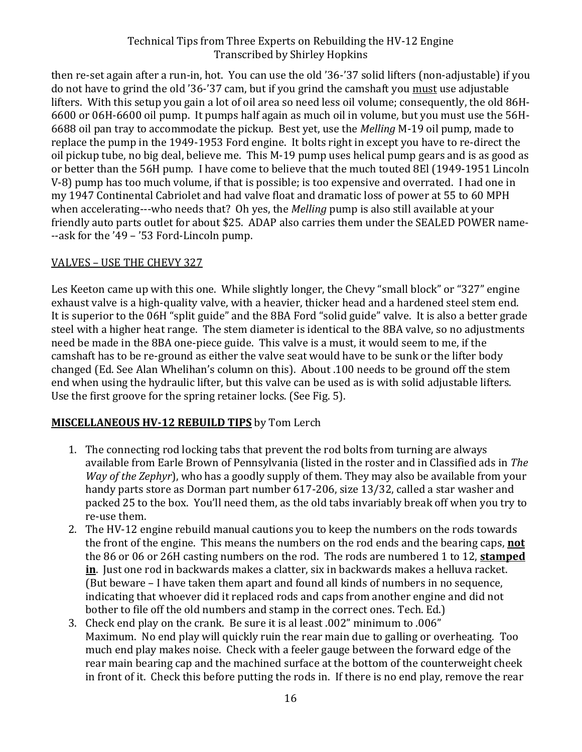then re-set again after a run-in, hot. You can use the old '36-'37 solid lifters (non-adjustable) if you do not have to grind the old '36-'37 cam, but if you grind the camshaft you must use adjustable lifters. With this setup you gain a lot of oil area so need less oil volume; consequently, the old 86H-6600 or 06H-6600 oil pump. It pumps half again as much oil in volume, but you must use the 56H-6688 oil pan tray to accommodate the pickup. Best yet, use the *Melling* M-19 oil pump, made to replace the pump in the 1949-1953 Ford engine. It bolts right in except you have to re-direct the oil pickup tube, no big deal, believe me. This M-19 pump uses helical pump gears and is as good as or better than the 56H pump. I have come to believe that the much touted 8El (1949-1951 Lincoln V-8) pump has too much volume, if that is possible; is too expensive and overrated. I had one in my 1947 Continental Cabriolet and had valve float and dramatic loss of power at 55 to 60 MPH when accelerating---who needs that? Oh yes, the *Melling* pump is also still available at your friendly auto parts outlet for about \$25. ADAP also carries them under the SEALED POWER name- --ask for the '49 – '53 Ford-Lincoln pump.

#### VALVES – USE THE CHEVY 327

Les Keeton came up with this one. While slightly longer, the Chevy "small block" or "327" engine exhaust valve is a high-quality valve, with a heavier, thicker head and a hardened steel stem end. It is superior to the 06H "split guide" and the 8BA Ford "solid guide" valve. It is also a better grade steel with a higher heat range. The stem diameter is identical to the 8BA valve, so no adjustments need be made in the 8BA one-piece guide. This valve is a must, it would seem to me, if the camshaft has to be re-ground as either the valve seat would have to be sunk or the lifter body changed (Ed. See Alan Whelihan's column on this). About .100 needs to be ground off the stem end when using the hydraulic lifter, but this valve can be used as is with solid adjustable lifters. Use the first groove for the spring retainer locks. (See Fig. 5).

# **MISCELLANEOUS HV-12 REBUILD TIPS** by Tom Lerch

- 1. The connecting rod locking tabs that prevent the rod bolts from turning are always available from Earle Brown of Pennsylvania (listed in the roster and in Classified ads in *The Way of the Zephyr*), who has a goodly supply of them. They may also be available from your handy parts store as Dorman part number 617-206, size 13/32, called a star washer and packed 25 to the box. You'll need them, as the old tabs invariably break off when you try to re-use them.
- 2. The HV-12 engine rebuild manual cautions you to keep the numbers on the rods towards the front of the engine. This means the numbers on the rod ends and the bearing caps, **not** the 86 or 06 or 26H casting numbers on the rod. The rods are numbered 1 to 12, **stamped in**. Just one rod in backwards makes a clatter, six in backwards makes a helluva racket. (But beware – I have taken them apart and found all kinds of numbers in no sequence, indicating that whoever did it replaced rods and caps from another engine and did not bother to file off the old numbers and stamp in the correct ones. Tech. Ed.)
- 3. Check end play on the crank. Be sure it is al least .002" minimum to .006" Maximum. No end play will quickly ruin the rear main due to galling or overheating. Too much end play makes noise. Check with a feeler gauge between the forward edge of the rear main bearing cap and the machined surface at the bottom of the counterweight cheek in front of it. Check this before putting the rods in. If there is no end play, remove the rear